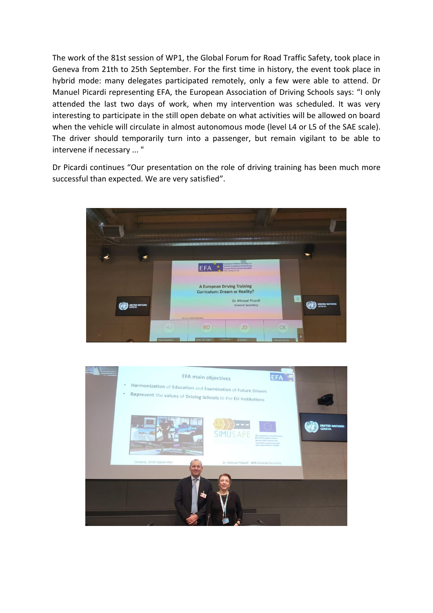The work of the 81st session of WP1, the Global Forum for Road Traffic Safety, took place in Geneva from 21th to 25th September. For the first time in history, the event took place in hybrid mode: many delegates participated remotely, only a few were able to attend. Dr Manuel Picardi representing EFA, the European Association of Driving Schools says: "I only attended the last two days of work, when my intervention was scheduled. It was very interesting to participate in the still open debate on what activities will be allowed on board when the vehicle will circulate in almost autonomous mode (level L4 or L5 of the SAE scale). The driver should temporarily turn into a passenger, but remain vigilant to be able to intervene if necessary ... "

Dr Picardi continues "Our presentation on the role of driving training has been much more successful than expected. We are very satisfied".